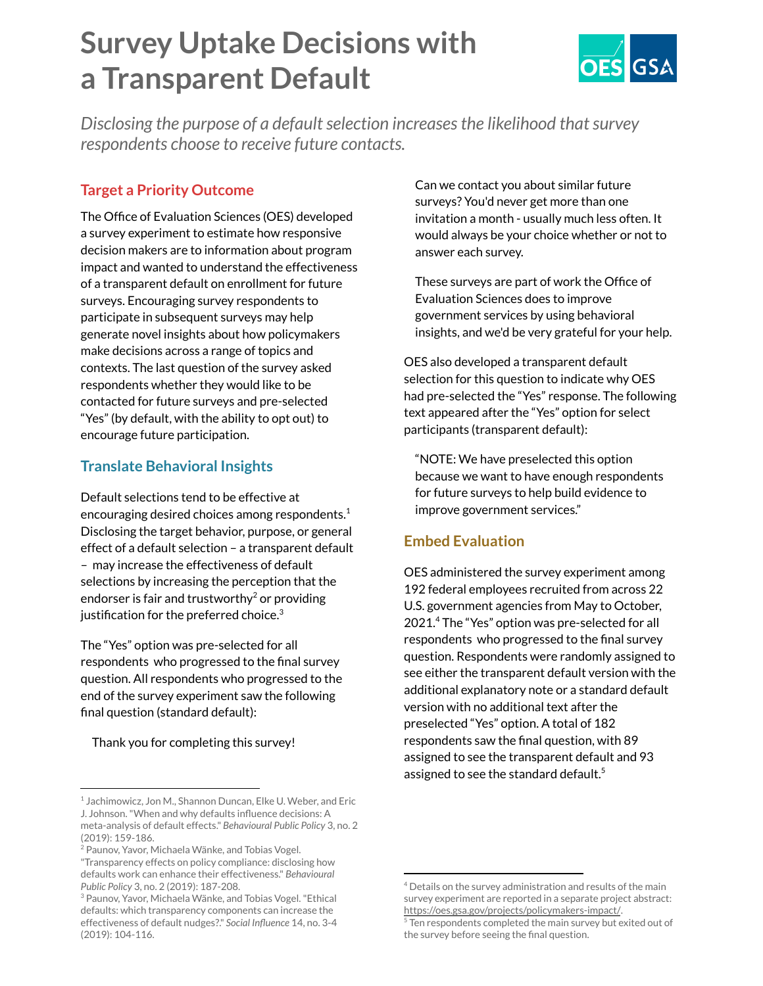# **Survey Uptake Decisions with a Transparent Default**



*Disclosing the purpose of a default selection increases the likelihood that survey respondents choose to receive future contacts.*

# **Target a Priority Outcome**

The Office of Evaluation Sciences (OES) developed a survey experiment to estimate how responsive decision makers are to information about program impact and wanted to understand the effectiveness of a transparent default on enrollment for future surveys. Encouraging survey respondents to participate in subsequent surveys may help generate novel insights about how policymakers make decisions across a range of topics and contexts. The last question of the survey asked respondents whether they would like to be contacted for future surveys and pre-selected "Yes" (by default, with the ability to opt out) to encourage future participation.

## **Translate Behavioral Insights**

Default selections tend to be effective at encouraging desired choices among respondents. $^1$ Disclosing the target behavior, purpose, or general effect of a default selection – a transparent default – may increase the effectiveness of default selections by increasing the perception that the endorser is fair and trustworthy $^2$  or providing justification for the preferred choice. $^3$ 

The "Yes" option was pre-selected for all respondents who progressed to the final survey question. All respondents who progressed to the end of the survey experiment saw the following final question (standard default):

Thank you for completing this survey!

Can we contact you about similar future surveys? You'd never get more than one invitation a month - usually much less often. It would always be your choice whether or not to answer each survey.

These surveys are part of work the Office of Evaluation Sciences does to improve government services by using behavioral insights, and we'd be very grateful for your help.

OES also developed a transparent default selection for this question to indicate why OES had pre-selected the "Yes" response. The following text appeared after the "Yes" option for select participants (transparent default):

"NOTE: We have preselected this option because we want to have enough respondents for future surveys to help build evidence to improve government services."

## **Embed Evaluation**

OES administered the survey experiment among 192 federal employees recruited from across 22 U.S. government agencies from May to October, 2021.<sup>4</sup> The "Yes" option was pre-selected for all respondents who progressed to the final survey question. Respondents were randomly assigned to see either the transparent default version with the additional explanatory note or a standard default version with no additional text after the preselected "Yes" option. A total of 182 respondents saw the final question, with 89 assigned to see the transparent default and 93 assigned to see the standard default.<sup>5</sup>

<sup>&</sup>lt;sup>1</sup> Jachimowicz, Jon M., Shannon Duncan, Elke U. Weber, and Eric J. Johnson."When and why defaults influence decisions: A meta-analysis of default effects." *Behavioural Public Policy* 3, no. 2 (2019): 159-186.

<sup>&</sup>lt;sup>2</sup> Paunov, Yavor, Michaela Wänke, and Tobias Vogel.

<sup>&</sup>quot;Transparency effects on policy compliance: disclosing how defaults work can enhance their effectiveness." *Behavioural Public Policy* 3, no. 2 (2019): 187-208.

<sup>3</sup> Paunov, Yavor, Michaela Wänke, and Tobias Vogel."Ethical defaults: which transparency components can increase the effectiveness of default nudges?." *Social Influence* 14, no. 3-4 (2019): 104-116.

<sup>4</sup> Details on the survey administration and results of the main survey experiment are reported in a separate project abstract: <https://oes.gsa.gov/projects/policymakers-impact/>.

<sup>&</sup>lt;sup>5</sup> Ten respondents completed the main survey but exited out of the survey before seeing the final question.